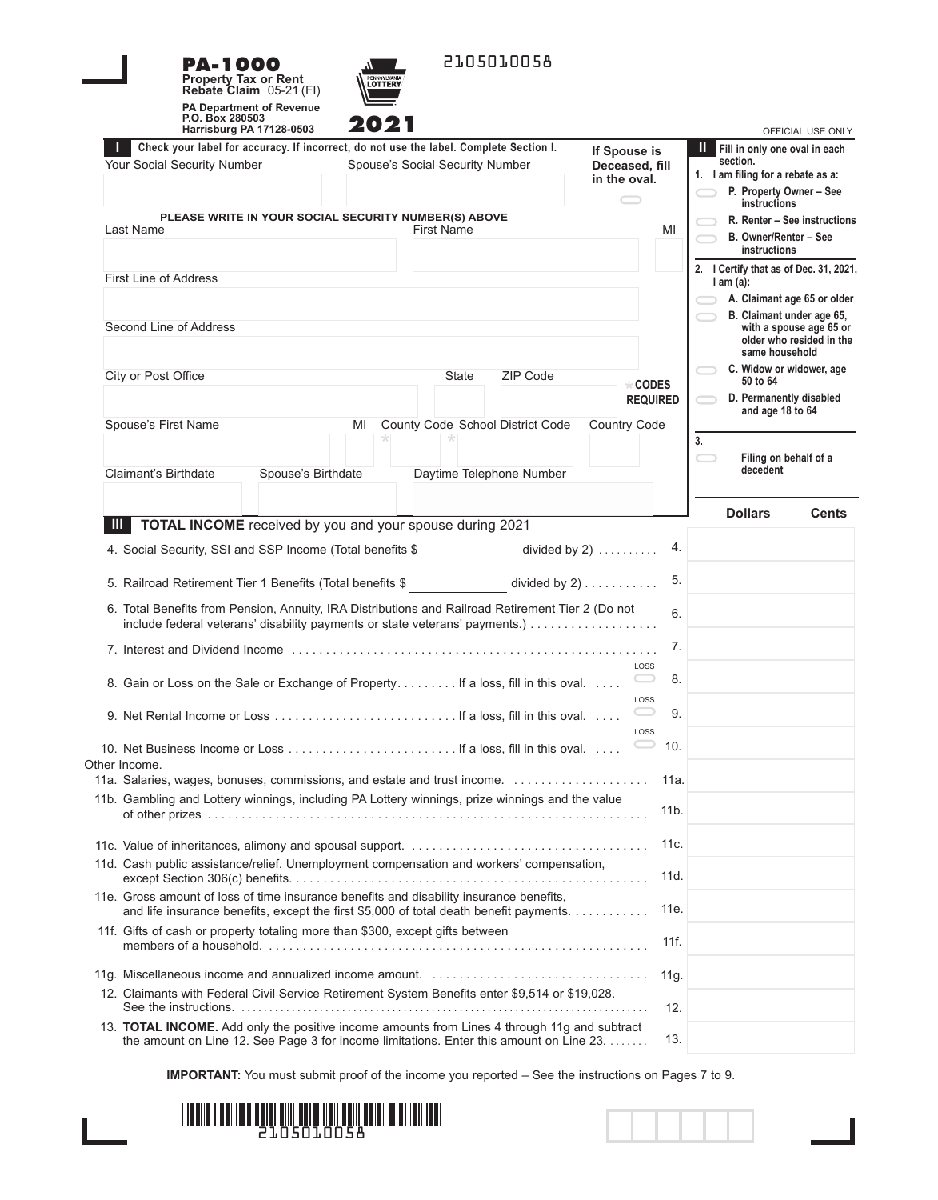



| 2021<br>Harrisburg PA 17128-0503                                                                                                                                                        | OFFICIAL USE ONLY                                                                                                                                                |
|-----------------------------------------------------------------------------------------------------------------------------------------------------------------------------------------|------------------------------------------------------------------------------------------------------------------------------------------------------------------|
| Check your label for accuracy. If incorrect, do not use the label. Complete Section I.<br>Your Social Security Number<br>Spouse's Social Security Number                                | Ш<br>Fill in only one oval in each<br>If Spouse is<br>section.<br>Deceased, fill<br>1. I am filing for a rebate as a:<br>in the oval.<br>P. Property Owner - See |
| PLEASE WRITE IN YOUR SOCIAL SECURITY NUMBER(S) ABOVE<br>Last Name<br>First Name                                                                                                         | instructions<br>R. Renter - See instructions<br>MI<br>B. Owner/Renter - See<br>instructions                                                                      |
| <b>First Line of Address</b><br>Second Line of Address                                                                                                                                  | 2. I Certify that as of Dec. 31, 2021,<br>$l$ am $(a)$ :<br>A. Claimant age 65 or older<br>B. Claimant under age 65,<br>with a spouse age 65 or                  |
| ZIP Code<br>City or Post Office<br>State                                                                                                                                                | older who resided in the<br>same household<br>C. Widow or widower, age                                                                                           |
| County Code School District Code<br>Spouse's First Name<br>MI                                                                                                                           | 50 to 64<br><b>* CODES</b><br>D. Permanently disabled<br><b>REQUIRED</b><br>and age 18 to 64<br>Country Code                                                     |
| Claimant's Birthdate<br>Spouse's Birthdate<br>Daytime Telephone Number                                                                                                                  | 3.<br>Filing on behalf of a<br>decedent                                                                                                                          |
| TOTAL INCOME received by you and your spouse during 2021<br>Ш                                                                                                                           | <b>Dollars</b><br><b>Cents</b>                                                                                                                                   |
| 4. Social Security, SSI and SSP Income (Total benefits \$ ______________divided by 2)                                                                                                   | 4.                                                                                                                                                               |
| 5. Railroad Retirement Tier 1 Benefits (Total benefits \$ divided by 2)                                                                                                                 | 5.                                                                                                                                                               |
| 6. Total Benefits from Pension, Annuity, IRA Distributions and Railroad Retirement Tier 2 (Do not<br>include federal veterans' disability payments or state veterans' payments.)        | 6.                                                                                                                                                               |
|                                                                                                                                                                                         | 7.                                                                                                                                                               |
| 8. Gain or Loss on the Sale or Exchange of Property If a loss, fill in this oval                                                                                                        | LOSS<br>8.<br>$\cup$<br>LOSS                                                                                                                                     |
|                                                                                                                                                                                         | $\smash{\bigcirc}$<br>9.<br>LOSS                                                                                                                                 |
| Other Income.                                                                                                                                                                           | 10.                                                                                                                                                              |
| 11a. Salaries, wages, bonuses, commissions, and estate and trust income.<br>11b. Gambling and Lottery winnings, including PA Lottery winnings, prize winnings and the value             | 11a.<br>11 <sub>b</sub>                                                                                                                                          |
| 11d. Cash public assistance/relief. Unemployment compensation and workers' compensation,                                                                                                | 11c.                                                                                                                                                             |
| 11e. Gross amount of loss of time insurance benefits and disability insurance benefits,                                                                                                 | 11d.<br>11e.                                                                                                                                                     |
| and life insurance benefits, except the first \$5,000 of total death benefit payments.<br>11f. Gifts of cash or property totaling more than \$300, except gifts between                 | 11f.                                                                                                                                                             |
|                                                                                                                                                                                         | 11g.                                                                                                                                                             |
| 12. Claimants with Federal Civil Service Retirement System Benefits enter \$9,514 or \$19,028.                                                                                          | 12.                                                                                                                                                              |
| 13. TOTAL INCOME. Add only the positive income amounts from Lines 4 through 11g and subtract<br>the amount on Line 12. See Page 3 for income limitations. Enter this amount on Line 23. | 13.                                                                                                                                                              |

**IMPORTANT:** You must submit proof of the income you reported – See the instructions on Pages 7 to 9.